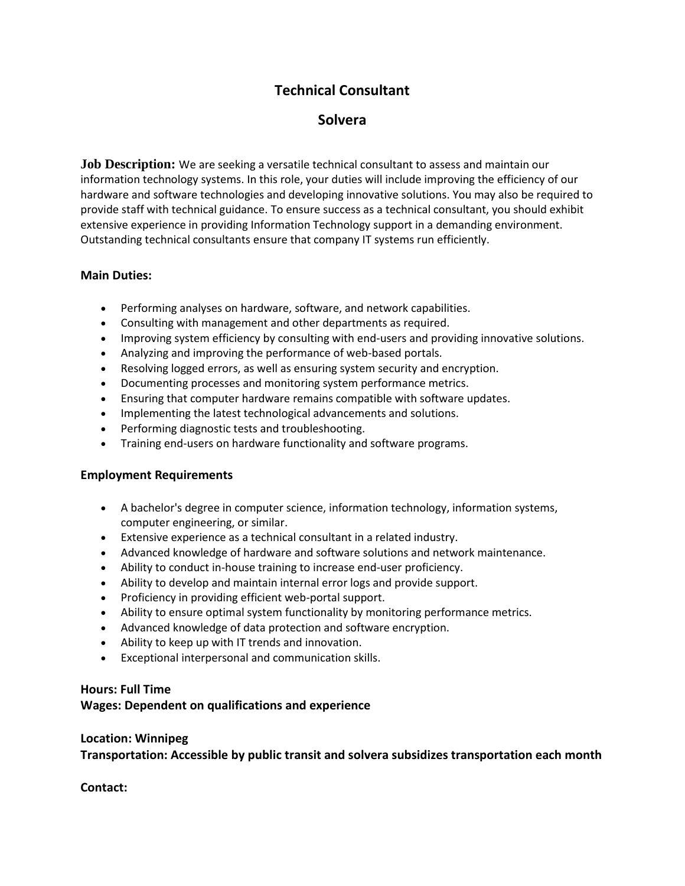# **Technical Consultant**

## **Solvera**

**Job Description:** We are seeking a versatile technical consultant to assess and maintain our information technology systems. In this role, your duties will include improving the efficiency of our hardware and software technologies and developing innovative solutions. You may also be required to provide staff with technical guidance. To ensure success as a technical consultant, you should exhibit extensive experience in providing Information Technology support in a demanding environment. Outstanding technical consultants ensure that company IT systems run efficiently.

### **Main Duties:**

- Performing analyses on hardware, software, and network capabilities.
- Consulting with management and other departments as required.
- Improving system efficiency by consulting with end-users and providing innovative solutions.
- Analyzing and improving the performance of web-based portals.
- Resolving logged errors, as well as ensuring system security and encryption.
- Documenting processes and monitoring system performance metrics.
- Ensuring that computer hardware remains compatible with software updates.
- Implementing the latest technological advancements and solutions.
- Performing diagnostic tests and troubleshooting.
- Training end-users on hardware functionality and software programs.

### **Employment Requirements**

- A bachelor's degree in computer science, information technology, information systems, computer engineering, or similar.
- Extensive experience as a technical consultant in a related industry.
- Advanced knowledge of hardware and software solutions and network maintenance.
- Ability to conduct in-house training to increase end-user proficiency.
- Ability to develop and maintain internal error logs and provide support.
- Proficiency in providing efficient web-portal support.
- Ability to ensure optimal system functionality by monitoring performance metrics.
- Advanced knowledge of data protection and software encryption.
- Ability to keep up with IT trends and innovation.
- Exceptional interpersonal and communication skills.

### **Hours: Full Time**

### **Wages: Dependent on qualifications and experience**

### **Location: Winnipeg**

**Transportation: Accessible by public transit and solvera subsidizes transportation each month**

**Contact:**